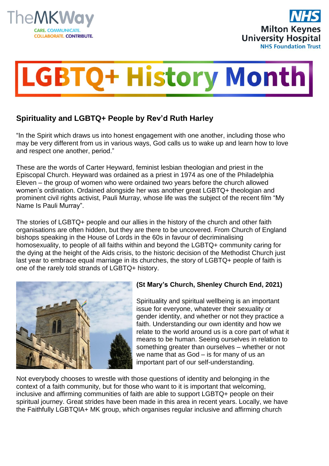



## **LGBTQ+ History Month**

## **Spirituality and LGBTQ+ People by Rev'd Ruth Harley**

"In the Spirit which draws us into honest engagement with one another, including those who may be very different from us in various ways, God calls us to wake up and learn how to love and respect one another, period."

These are the words of Carter Heyward, feminist lesbian theologian and priest in the Episcopal Church. Heyward was ordained as a priest in 1974 as one of the Philadelphia Eleven – the group of women who were ordained two years before the church allowed women's ordination. Ordained alongside her was another great LGBTQ+ theologian and prominent civil rights activist, Pauli Murray, whose life was the subject of the recent film "My Name Is Pauli Murray".

The stories of LGBTQ+ people and our allies in the history of the church and other faith organisations are often hidden, but they are there to be uncovered. From Church of England bishops speaking in the House of Lords in the 60s in favour of decriminalising homosexuality, to people of all faiths within and beyond the LGBTQ+ community caring for the dying at the height of the Aids crisis, to the historic decision of the Methodist Church just last year to embrace equal marriage in its churches, the story of LGBTQ+ people of faith is one of the rarely told strands of LGBTQ+ history.



## **(St Mary's Church, Shenley Church End, 2021)**

Spirituality and spiritual wellbeing is an important issue for everyone, whatever their sexuality or gender identity, and whether or not they practice a faith. Understanding our own identity and how we relate to the world around us is a core part of what it means to be human. Seeing ourselves in relation to something greater than ourselves – whether or not we name that as God – is for many of us an important part of our self-understanding.

Not everybody chooses to wrestle with those questions of identity and belonging in the context of a faith community, but for those who want to it is important that welcoming, inclusive and affirming communities of faith are able to support LGBTQ+ people on their spiritual journey. Great strides have been made in this area in recent years. Locally, we have the Faithfully LGBTQIA+ MK group, which organises regular inclusive and affirming church